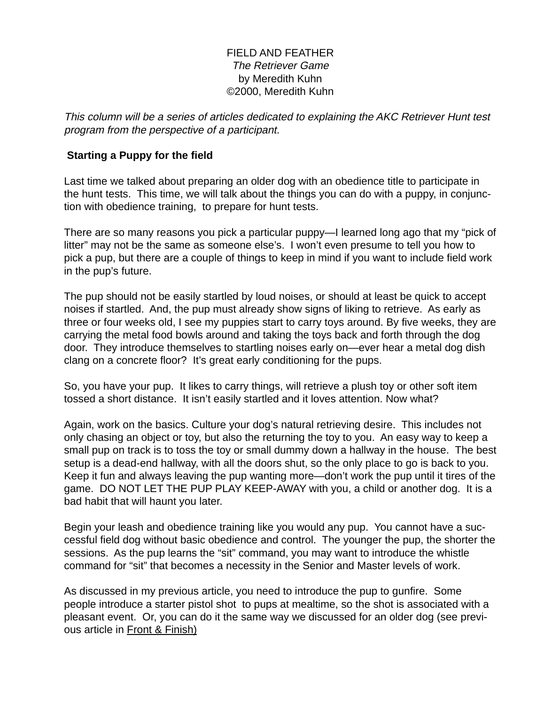## FIELD AND FEATHER The Retriever Game by Meredith Kuhn ©2000, Meredith Kuhn

This column will be a series of articles dedicated to explaining the AKC Retriever Hunt test program from the perspective of a participant.

## **Starting a Puppy for the field**

Last time we talked about preparing an older dog with an obedience title to participate in the hunt tests. This time, we will talk about the things you can do with a puppy, in conjunction with obedience training, to prepare for hunt tests.

There are so many reasons you pick a particular puppy—I learned long ago that my "pick of litter" may not be the same as someone else's. I won't even presume to tell you how to pick a pup, but there are a couple of things to keep in mind if you want to include field work in the pup's future.

The pup should not be easily startled by loud noises, or should at least be quick to accept noises if startled. And, the pup must already show signs of liking to retrieve. As early as three or four weeks old, I see my puppies start to carry toys around. By five weeks, they are carrying the metal food bowls around and taking the toys back and forth through the dog door. They introduce themselves to startling noises early on—ever hear a metal dog dish clang on a concrete floor? It's great early conditioning for the pups.

So, you have your pup. It likes to carry things, will retrieve a plush toy or other soft item tossed a short distance. It isn't easily startled and it loves attention. Now what?

Again, work on the basics. Culture your dog's natural retrieving desire. This includes not only chasing an object or toy, but also the returning the toy to you. An easy way to keep a small pup on track is to toss the toy or small dummy down a hallway in the house. The best setup is a dead-end hallway, with all the doors shut, so the only place to go is back to you. Keep it fun and always leaving the pup wanting more—don't work the pup until it tires of the game. DO NOT LET THE PUP PLAY KEEP-AWAY with you, a child or another dog. It is a bad habit that will haunt you later.

Begin your leash and obedience training like you would any pup. You cannot have a successful field dog without basic obedience and control. The younger the pup, the shorter the sessions. As the pup learns the "sit" command, you may want to introduce the whistle command for "sit" that becomes a necessity in the Senior and Master levels of work.

As discussed in my previous article, you need to introduce the pup to gunfire. Some people introduce a starter pistol shot to pups at mealtime, so the shot is associated with a pleasant event. Or, you can do it the same way we discussed for an older dog (see previous article in Front & Finish)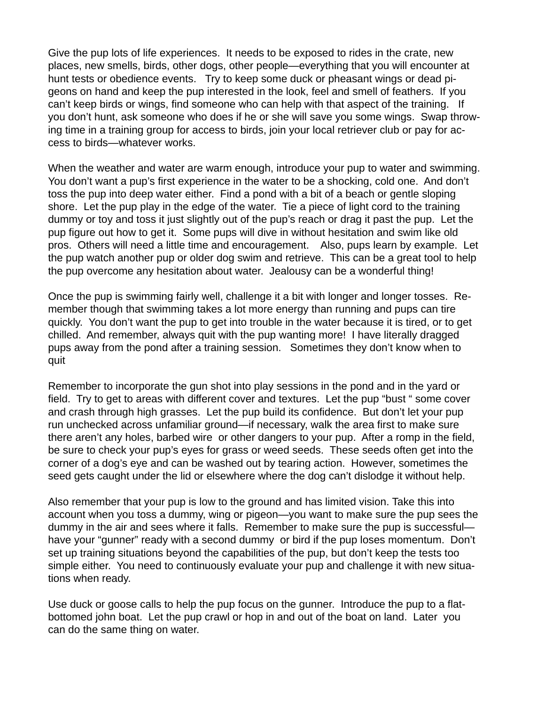Give the pup lots of life experiences. It needs to be exposed to rides in the crate, new places, new smells, birds, other dogs, other people—everything that you will encounter at hunt tests or obedience events. Try to keep some duck or pheasant wings or dead pigeons on hand and keep the pup interested in the look, feel and smell of feathers. If you can't keep birds or wings, find someone who can help with that aspect of the training. If you don't hunt, ask someone who does if he or she will save you some wings. Swap throwing time in a training group for access to birds, join your local retriever club or pay for access to birds—whatever works.

When the weather and water are warm enough, introduce your pup to water and swimming. You don't want a pup's first experience in the water to be a shocking, cold one. And don't toss the pup into deep water either. Find a pond with a bit of a beach or gentle sloping shore. Let the pup play in the edge of the water. Tie a piece of light cord to the training dummy or toy and toss it just slightly out of the pup's reach or drag it past the pup. Let the pup figure out how to get it. Some pups will dive in without hesitation and swim like old pros. Others will need a little time and encouragement. Also, pups learn by example. Let the pup watch another pup or older dog swim and retrieve. This can be a great tool to help the pup overcome any hesitation about water. Jealousy can be a wonderful thing!

Once the pup is swimming fairly well, challenge it a bit with longer and longer tosses. Remember though that swimming takes a lot more energy than running and pups can tire quickly. You don't want the pup to get into trouble in the water because it is tired, or to get chilled. And remember, always quit with the pup wanting more! I have literally dragged pups away from the pond after a training session. Sometimes they don't know when to quit

Remember to incorporate the gun shot into play sessions in the pond and in the yard or field. Try to get to areas with different cover and textures. Let the pup "bust " some cover and crash through high grasses. Let the pup build its confidence. But don't let your pup run unchecked across unfamiliar ground—if necessary, walk the area first to make sure there aren't any holes, barbed wire or other dangers to your pup. After a romp in the field, be sure to check your pup's eyes for grass or weed seeds. These seeds often get into the corner of a dog's eye and can be washed out by tearing action. However, sometimes the seed gets caught under the lid or elsewhere where the dog can't dislodge it without help.

Also remember that your pup is low to the ground and has limited vision. Take this into account when you toss a dummy, wing or pigeon—you want to make sure the pup sees the dummy in the air and sees where it falls. Remember to make sure the pup is successful have your "gunner" ready with a second dummy or bird if the pup loses momentum. Don't set up training situations beyond the capabilities of the pup, but don't keep the tests too simple either. You need to continuously evaluate your pup and challenge it with new situations when ready.

Use duck or goose calls to help the pup focus on the gunner. Introduce the pup to a flatbottomed john boat. Let the pup crawl or hop in and out of the boat on land. Later you can do the same thing on water.